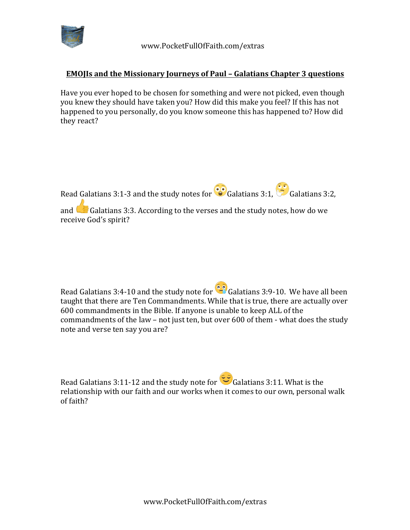

 www.PocketFullOfFaith.com/extras

## **EMOJIs and the Missionary Journeys of Paul - Galatians Chapter 3 questions**

Have you ever hoped to be chosen for something and were not picked, even though you knew they should have taken you? How did this make you feel? If this has not happened to you personally, do you know someone this has happened to? How did they react?



and  $\Box$  Galatians 3:3. According to the verses and the study notes, how do we receive God's spirit?

Read Galatians 3:4-10 and the study note for  $\bullet$  Galatians 3:9-10. We have all been taught that there are Ten Commandments. While that is true, there are actually over 600 commandments in the Bible. If anyone is unable to keep ALL of the commandments of the law - not just ten, but over 600 of them - what does the study note and verse ten say you are?

Read Galatians 3:11-12 and the study note for  $\heartsuit$  Galatians 3:11. What is the relationship with our faith and our works when it comes to our own, personal walk of faith?